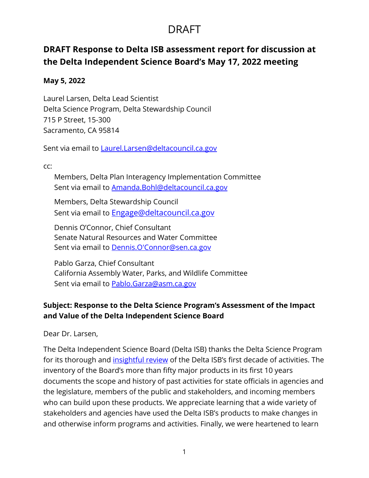### DRAFT

### **DRAFT Response to Delta ISB assessment report for discussion at the Delta Independent Science Board's May 17, 2022 meeting**

#### **May 5, 2022**

Laurel Larsen, Delta Lead Scientist Delta Science Program, Delta Stewardship Council 715 P Street, 15-300 Sacramento, CA 95814

Sent via email to [Laurel.Larsen@deltacouncil.ca.gov](mailto:Laurel.Larsen@deltacouncil.ca.gov)

cc:

Members, Delta Plan Interagency Implementation Committee Sent via email to [Amanda.Bohl@deltacouncil.ca.gov](mailto:Amanda.Bohl@deltacouncil.ca.gov)

Members, Delta Stewardship Council Sent via email to [Engage@deltacouncil.ca.gov](mailto:Engage@deltacouncil.ca.gov)

Dennis O'Connor, Chief Consultant Senate Natural Resources and Water Committee Sent via email to [Dennis.O'Connor@sen.ca.gov](mailto:Dennis.O) 

Pablo Garza, Chief Consultant California Assembly Water, Parks, and Wildlife Committee Sent via email to [Pablo.Garza@asm.ca.gov](mailto:Pablo.Garza@asm.ca.gov)

### **Subject: Response to the Delta Science Program's Assessment of the Impact and Value of the Delta Independent Science Board**

Dear Dr. Larsen,

The Delta Independent Science Board (Delta ISB) thanks the Delta Science Program for its thorough and [insightful review](https://deltacouncil.ca.gov/pdf/isb/meeting-materials/2022-03-03-delta-isb-assessment.pdf) of the Delta ISB's first decade of activities. The inventory of the Board's more than fifty major products in its first 10 years documents the scope and history of past activities for state officials in agencies and the legislature, members of the public and stakeholders, and incoming members who can build upon these products. We appreciate learning that a wide variety of stakeholders and agencies have used the Delta ISB's products to make changes in and otherwise inform programs and activities. Finally, we were heartened to learn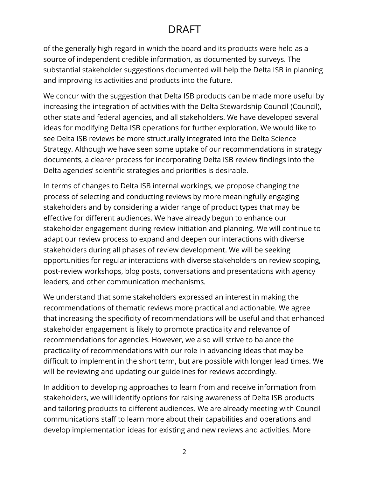## DRAFT

of the generally high regard in which the board and its products were held as a source of independent credible information, as documented by surveys. The substantial stakeholder suggestions documented will help the Delta ISB in planning and improving its activities and products into the future.

We concur with the suggestion that Delta ISB products can be made more useful by increasing the integration of activities with the Delta Stewardship Council (Council), other state and federal agencies, and all stakeholders. We have developed several ideas for modifying Delta ISB operations for further exploration. We would like to see Delta ISB reviews be more structurally integrated into the Delta Science Strategy. Although we have seen some uptake of our recommendations in strategy documents, a clearer process for incorporating Delta ISB review findings into the Delta agencies' scientific strategies and priorities is desirable.

In terms of changes to Delta ISB internal workings, we propose changing the process of selecting and conducting reviews by more meaningfully engaging stakeholders and by considering a wider range of product types that may be effective for different audiences. We have already begun to enhance our stakeholder engagement during review initiation and planning. We will continue to adapt our review process to expand and deepen our interactions with diverse stakeholders during all phases of review development. We will be seeking opportunities for regular interactions with diverse stakeholders on review scoping, post-review workshops, blog posts, conversations and presentations with agency leaders, and other communication mechanisms.

We understand that some stakeholders expressed an interest in making the recommendations of thematic reviews more practical and actionable. We agree that increasing the specificity of recommendations will be useful and that enhanced stakeholder engagement is likely to promote practicality and relevance of recommendations for agencies. However, we also will strive to balance the practicality of recommendations with our role in advancing ideas that may be difficult to implement in the short term, but are possible with longer lead times. We will be reviewing and updating our guidelines for reviews accordingly.

In addition to developing approaches to learn from and receive information from stakeholders, we will identify options for raising awareness of Delta ISB products and tailoring products to different audiences. We are already meeting with Council communications staff to learn more about their capabilities and operations and develop implementation ideas for existing and new reviews and activities. More